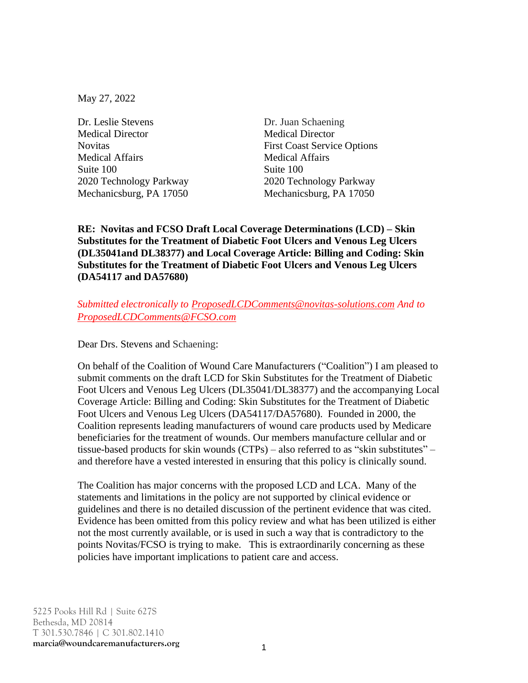May 27, 2022

Dr. Leslie Stevens Dr. Juan Schaening Medical Director Medical Director Medical Affairs Medical Affairs Suite 100 2020 Technology Parkway 2020 Technology Parkway Mechanicsburg, PA 17050 Mechanicsburg, PA 17050

Novitas First Coast Service Options

**RE: Novitas and FCSO Draft Local Coverage Determinations (LCD) – Skin Substitutes for the Treatment of Diabetic Foot Ulcers and Venous Leg Ulcers (DL35041and DL38377) and Local Coverage Article: Billing and Coding: Skin Substitutes for the Treatment of Diabetic Foot Ulcers and Venous Leg Ulcers (DA54117 and DA57680)**

### *Submitted electronically to [ProposedLCDComments@novitas-solutions.com](mailto:ProposedLCDComments@novitas-solutions.com) And to [ProposedLCDComments@FCSO.com](mailto:ProposedLCDComments@FCSO.com)*

Dear Drs. Stevens and Schaening:

On behalf of the Coalition of Wound Care Manufacturers ("Coalition") I am pleased to submit comments on the draft LCD for Skin Substitutes for the Treatment of Diabetic Foot Ulcers and Venous Leg Ulcers (DL35041/DL38377) and the accompanying Local Coverage Article: Billing and Coding: Skin Substitutes for the Treatment of Diabetic Foot Ulcers and Venous Leg Ulcers (DA54117/DA57680). Founded in 2000, the Coalition represents leading manufacturers of wound care products used by Medicare beneficiaries for the treatment of wounds. Our members manufacture cellular and or tissue-based products for skin wounds (CTPs) – also referred to as "skin substitutes" – and therefore have a vested interested in ensuring that this policy is clinically sound.

The Coalition has major concerns with the proposed LCD and LCA. Many of the statements and limitations in the policy are not supported by clinical evidence or guidelines and there is no detailed discussion of the pertinent evidence that was cited. Evidence has been omitted from this policy review and what has been utilized is either not the most currently available, or is used in such a way that is contradictory to the points Novitas/FCSO is trying to make. This is extraordinarily concerning as these policies have important implications to patient care and access.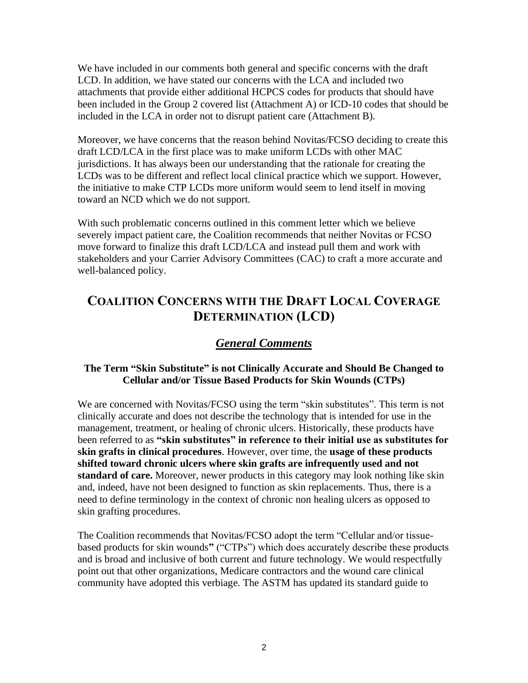We have included in our comments both general and specific concerns with the draft LCD. In addition, we have stated our concerns with the LCA and included two attachments that provide either additional HCPCS codes for products that should have been included in the Group 2 covered list (Attachment A) or ICD-10 codes that should be included in the LCA in order not to disrupt patient care (Attachment B).

Moreover, we have concerns that the reason behind Novitas/FCSO deciding to create this draft LCD/LCA in the first place was to make uniform LCDs with other MAC jurisdictions. It has always been our understanding that the rationale for creating the LCDs was to be different and reflect local clinical practice which we support. However, the initiative to make CTP LCDs more uniform would seem to lend itself in moving toward an NCD which we do not support.

With such problematic concerns outlined in this comment letter which we believe severely impact patient care, the Coalition recommends that neither Novitas or FCSO move forward to finalize this draft LCD/LCA and instead pull them and work with stakeholders and your Carrier Advisory Committees (CAC) to craft a more accurate and well-balanced policy.

# **COALITION CONCERNS WITH THE DRAFT LOCAL COVERAGE DETERMINATION (LCD)**

## *General Comments*

## **The Term "Skin Substitute" is not Clinically Accurate and Should Be Changed to Cellular and/or Tissue Based Products for Skin Wounds (CTPs)**

We are concerned with Novitas/FCSO using the term "skin substitutes". This term is not clinically accurate and does not describe the technology that is intended for use in the management, treatment, or healing of chronic ulcers. Historically, these products have been referred to as **"skin substitutes" in reference to their initial use as substitutes for skin grafts in clinical procedures**. However, over time, the **usage of these products shifted toward chronic ulcers where skin grafts are infrequently used and not standard of care.** Moreover, newer products in this category may look nothing like skin and, indeed, have not been designed to function as skin replacements. Thus, there is a need to define terminology in the context of chronic non healing ulcers as opposed to skin grafting procedures.

The Coalition recommends that Novitas/FCSO adopt the term "Cellular and/or tissuebased products for skin wounds**"** ("CTPs") which does accurately describe these products and is broad and inclusive of both current and future technology. We would respectfully point out that other organizations, Medicare contractors and the wound care clinical community have adopted this verbiage. The ASTM has updated its standard guide to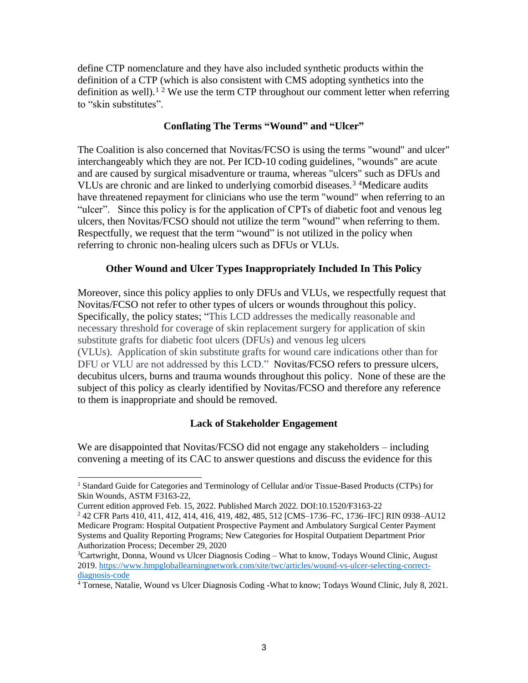define CTP nomenclature and they have also included synthetic products within the definition of a CTP (which is also consistent with CMS adopting synthetics into the definition as well).<sup>1 2</sup> We use the term CTP throughout our comment letter when referring to "skin substitutes".

#### **Conflating The Terms "Wound" and "Ulcer"**

The Coalition is also concerned that Novitas/FCSO is using the terms "wound" and ulcer" interchangeably which they are not. Per ICD-10 coding guidelines, "wounds" are acute and are caused by surgical misadventure or trauma, whereas "ulcers" such as DFUs and VLUs are chronic and are linked to underlying comorbid diseases.<sup>3</sup> <sup>4</sup>Medicare audits have threatened repayment for clinicians who use the term "wound" when referring to an "ulcer". Since this policy is for the application of CPTs of diabetic foot and venous leg ulcers, then Novitas/FCSO should not utilize the term "wound" when referring to them. Respectfully, we request that the term "wound" is not utilized in the policy when referring to chronic non-healing ulcers such as DFUs or VLUs.

#### **Other Wound and Ulcer Types Inappropriately Included In This Policy**

Moreover, since this policy applies to only DFUs and VLUs, we respectfully request that Novitas/FCSO not refer to other types of ulcers or wounds throughout this policy. Specifically, the policy states; "This LCD addresses the medically reasonable and necessary threshold for coverage of skin replacement surgery for application of skin substitute grafts for diabetic foot ulcers (DFUs) and venous leg ulcers (VLUs). Application of skin substitute grafts for wound care indications other than for DFU or VLU are not addressed by this LCD." Novitas/FCSO refers to pressure ulcers, decubitus ulcers, burns and trauma wounds throughout this policy. None of these are the subject of this policy as clearly identified by Novitas/FCSO and therefore any reference to them is inappropriate and should be removed.

#### **Lack of Stakeholder Engagement**

We are disappointed that Novitas/FCSO did not engage any stakeholders – including convening a meeting of its CAC to answer questions and discuss the evidence for this

<sup>&</sup>lt;sup>1</sup> Standard Guide for Categories and Terminology of Cellular and/or Tissue-Based Products (CTPs) for Skin Wounds, ASTM F3163-22,

Current edition approved Feb. 15, 2022. Published March 2022. DOI:10.1520/F3163-22

<sup>2</sup> 42 CFR Parts 410, 411, 412, 414, 416, 419, 482, 485, 512 [CMS–1736–FC, 1736–IFC] RIN 0938–AU12 Medicare Program: Hospital Outpatient Prospective Payment and Ambulatory Surgical Center Payment Systems and Quality Reporting Programs; New Categories for Hospital Outpatient Department Prior Authorization Process; December 29, 2020

<sup>&</sup>lt;sup>3</sup>Cartwright, Donna, Wound vs Ulcer Diagnosis Coding – What to know, Todays Wound Clinic, August 2019. [https://www.hmpgloballearningnetwork.com/site/twc/articles/wound-vs-ulcer-selecting-correct](https://www.hmpgloballearningnetwork.com/site/twc/articles/wound-vs-ulcer-selecting-correct-diagnosis-code)[diagnosis-code](https://www.hmpgloballearningnetwork.com/site/twc/articles/wound-vs-ulcer-selecting-correct-diagnosis-code)

<sup>4</sup> Tornese, Natalie, Wound vs Ulcer Diagnosis Coding -What to know; Todays Wound Clinic, July 8, 2021.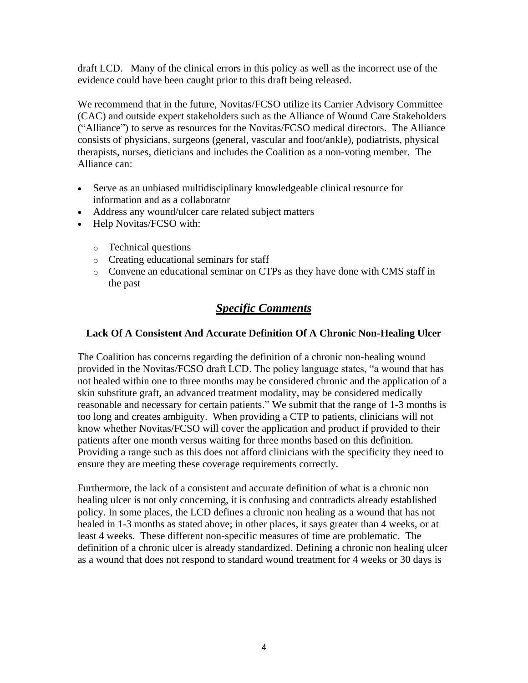draft LCD. Many of the clinical errors in this policy as well as the incorrect use of the evidence could have been caught prior to this draft being released.

We recommend that in the future, Novitas/FCSO utilize its Carrier Advisory Committee (CAC) and outside expert stakeholders such as the Alliance of Wound Care Stakeholders ("Alliance") to serve as resources for the Novitas/FCSO medical directors. The Alliance consists of physicians, surgeons (general, vascular and foot/ankle), podiatrists, physical therapists, nurses, dieticians and includes the Coalition as a non-voting member. The Alliance can:

- Serve as an unbiased multidisciplinary knowledgeable clinical resource for information and as a collaborator
- Address any wound/ulcer care related subject matters
- Help Novitas/FCSO with:
	- o Technical questions
	- o Creating educational seminars for staff
	- o Convene an educational seminar on CTPs as they have done with CMS staff in the past

# *Specific Comments*

### **Lack Of A Consistent And Accurate Definition Of A Chronic Non-Healing Ulcer**

The Coalition has concerns regarding the definition of a chronic non-healing wound provided in the Novitas/FCSO draft LCD. The policy language states, "a wound that has not healed within one to three months may be considered chronic and the application of a skin substitute graft, an advanced treatment modality, may be considered medically reasonable and necessary for certain patients." We submit that the range of 1-3 months is too long and creates ambiguity. When providing a CTP to patients, clinicians will not know whether Novitas/FCSO will cover the application and product if provided to their patients after one month versus waiting for three months based on this definition. Providing a range such as this does not afford clinicians with the specificity they need to ensure they are meeting these coverage requirements correctly.

Furthermore, the lack of a consistent and accurate definition of what is a chronic non healing ulcer is not only concerning, it is confusing and contradicts already established policy. In some places, the LCD defines a chronic non healing as a wound that has not healed in 1-3 months as stated above; in other places, it says greater than 4 weeks, or at least 4 weeks. These different non-specific measures of time are problematic. The definition of a chronic ulcer is already standardized. Defining a chronic non healing ulcer as a wound that does not respond to standard wound treatment for 4 weeks or 30 days is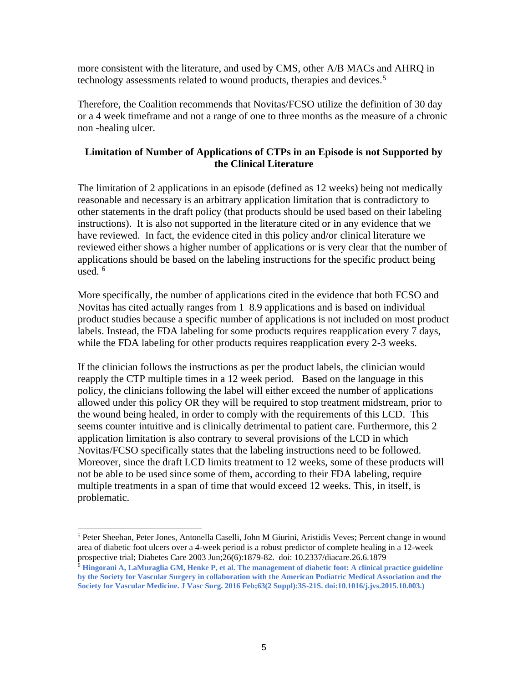more consistent with the literature, and used by CMS, other A/B MACs and AHRQ in technology assessments related to wound products, therapies and devices.<sup>5</sup>

Therefore, the Coalition recommends that Novitas/FCSO utilize the definition of 30 day or a 4 week timeframe and not a range of one to three months as the measure of a chronic non -healing ulcer.

## **Limitation of Number of Applications of CTPs in an Episode is not Supported by the Clinical Literature**

The limitation of 2 applications in an episode (defined as 12 weeks) being not medically reasonable and necessary is an arbitrary application limitation that is contradictory to other statements in the draft policy (that products should be used based on their labeling instructions). It is also not supported in the literature cited or in any evidence that we have reviewed. In fact, the evidence cited in this policy and/or clinical literature we reviewed either shows a higher number of applications or is very clear that the number of applications should be based on the labeling instructions for the specific product being used. <sup>6</sup>

More specifically, the number of applications cited in the evidence that both FCSO and Novitas has cited actually ranges from 1–8.9 applications and is based on individual product studies because a specific number of applications is not included on most product labels. Instead, the FDA labeling for some products requires reapplication every 7 days, while the FDA labeling for other products requires reapplication every 2-3 weeks.

If the clinician follows the instructions as per the product labels, the clinician would reapply the CTP multiple times in a 12 week period. Based on the language in this policy, the clinicians following the label will either exceed the number of applications allowed under this policy OR they will be required to stop treatment midstream, prior to the wound being healed, in order to comply with the requirements of this LCD. This seems counter intuitive and is clinically detrimental to patient care. Furthermore, this 2 application limitation is also contrary to several provisions of the LCD in which Novitas/FCSO specifically states that the labeling instructions need to be followed. Moreover, since the draft LCD limits treatment to 12 weeks, some of these products will not be able to be used since some of them, according to their FDA labeling, require multiple treatments in a span of time that would exceed 12 weeks. This, in itself, is problematic.

<sup>5</sup> Peter Sheehan, Peter Jones, Antonella Caselli, John M Giurini, Aristidis Veves; Percent change in wound area of diabetic foot ulcers over a 4-week period is a robust predictor of complete healing in a 12-week prospective trial; Diabetes Care 2003 Jun;26(6):1879-82. doi: 10.2337/diacare.26.6.1879

<sup>6</sup> **Hingorani A, LaMuraglia GM, Henke P, et al. The management of diabetic foot: A clinical practice guideline by the Society for Vascular Surgery in collaboration with the American Podiatric Medical Association and the Society for Vascular Medicine. J Vasc Surg. 2016 Feb;63(2 Suppl):3S-21S. doi:10.1016/j.jvs.2015.10.003.)**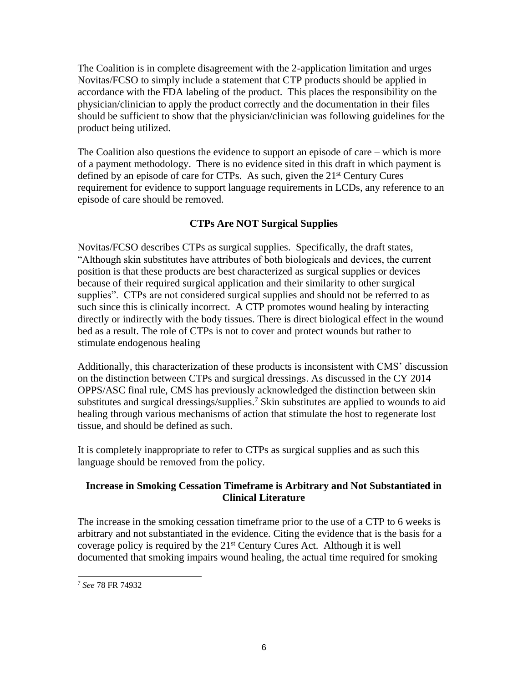The Coalition is in complete disagreement with the 2-application limitation and urges Novitas/FCSO to simply include a statement that CTP products should be applied in accordance with the FDA labeling of the product. This places the responsibility on the physician/clinician to apply the product correctly and the documentation in their files should be sufficient to show that the physician/clinician was following guidelines for the product being utilized.

The Coalition also questions the evidence to support an episode of care – which is more of a payment methodology. There is no evidence sited in this draft in which payment is defined by an episode of care for CTPs. As such, given the 21<sup>st</sup> Century Cures requirement for evidence to support language requirements in LCDs, any reference to an episode of care should be removed.

## **CTPs Are NOT Surgical Supplies**

Novitas/FCSO describes CTPs as surgical supplies. Specifically, the draft states, "Although skin substitutes have attributes of both biologicals and devices, the current position is that these products are best characterized as surgical supplies or devices because of their required surgical application and their similarity to other surgical supplies". CTPs are not considered surgical supplies and should not be referred to as such since this is clinically incorrect. A CTP promotes wound healing by interacting directly or indirectly with the body tissues. There is direct biological effect in the wound bed as a result. The role of CTPs is not to cover and protect wounds but rather to stimulate endogenous healing

Additionally, this characterization of these products is inconsistent with CMS' discussion on the distinction between CTPs and surgical dressings. As discussed in the CY 2014 OPPS/ASC final rule, CMS has previously acknowledged the distinction between skin substitutes and surgical dressings/supplies. <sup>7</sup> Skin substitutes are applied to wounds to aid healing through various mechanisms of action that stimulate the host to regenerate lost tissue, and should be defined as such.

It is completely inappropriate to refer to CTPs as surgical supplies and as such this language should be removed from the policy.

## **Increase in Smoking Cessation Timeframe is Arbitrary and Not Substantiated in Clinical Literature**

The increase in the smoking cessation timeframe prior to the use of a CTP to 6 weeks is arbitrary and not substantiated in the evidence. Citing the evidence that is the basis for a coverage policy is required by the  $21<sup>st</sup>$  Century Cures Act. Although it is well documented that smoking impairs wound healing, the actual time required for smoking

<sup>7</sup> *See* 78 FR 74932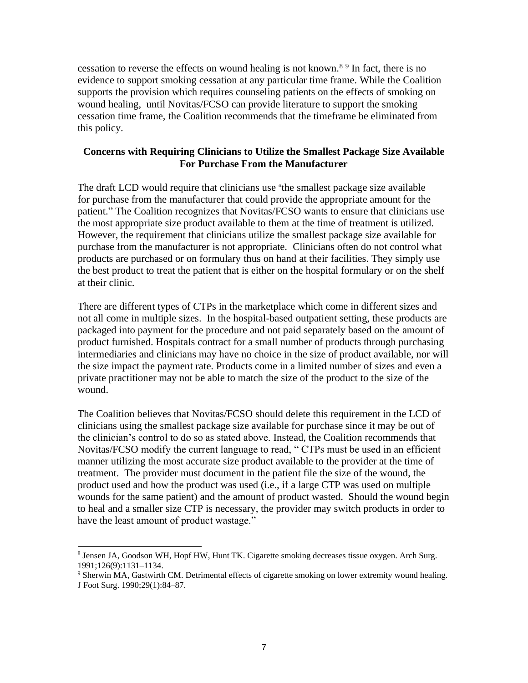cessation to reverse the effects on wound healing is not known.<sup>89</sup> In fact, there is no evidence to support smoking cessation at any particular time frame. While the Coalition supports the provision which requires counseling patients on the effects of smoking on wound healing, until Novitas/FCSO can provide literature to support the smoking cessation time frame, the Coalition recommends that the timeframe be eliminated from this policy.

#### **Concerns with Requiring Clinicians to Utilize the Smallest Package Size Available For Purchase From the Manufacturer**

The draft LCD would require that clinicians use "the smallest package size available for purchase from the manufacturer that could provide the appropriate amount for the patient." The Coalition recognizes that Novitas/FCSO wants to ensure that clinicians use the most appropriate size product available to them at the time of treatment is utilized. However, the requirement that clinicians utilize the smallest package size available for purchase from the manufacturer is not appropriate. Clinicians often do not control what products are purchased or on formulary thus on hand at their facilities. They simply use the best product to treat the patient that is either on the hospital formulary or on the shelf at their clinic.

There are different types of CTPs in the marketplace which come in different sizes and not all come in multiple sizes. In the hospital-based outpatient setting, these products are packaged into payment for the procedure and not paid separately based on the amount of product furnished. Hospitals contract for a small number of products through purchasing intermediaries and clinicians may have no choice in the size of product available, nor will the size impact the payment rate. Products come in a limited number of sizes and even a private practitioner may not be able to match the size of the product to the size of the wound.

The Coalition believes that Novitas/FCSO should delete this requirement in the LCD of clinicians using the smallest package size available for purchase since it may be out of the clinician's control to do so as stated above. Instead, the Coalition recommends that Novitas/FCSO modify the current language to read, " CTPs must be used in an efficient manner utilizing the most accurate size product available to the provider at the time of treatment. The provider must document in the patient file the size of the wound, the product used and how the product was used (i.e., if a large CTP was used on multiple wounds for the same patient) and the amount of product wasted. Should the wound begin to heal and a smaller size CTP is necessary, the provider may switch products in order to have the least amount of product wastage."

<sup>8</sup> Jensen JA, Goodson WH, Hopf HW, Hunt TK. Cigarette smoking decreases tissue oxygen. Arch Surg. 1991;126(9):1131–1134.

<sup>&</sup>lt;sup>9</sup> Sherwin MA, Gastwirth CM. Detrimental effects of cigarette smoking on lower extremity wound healing. J Foot Surg. 1990;29(1):84–87.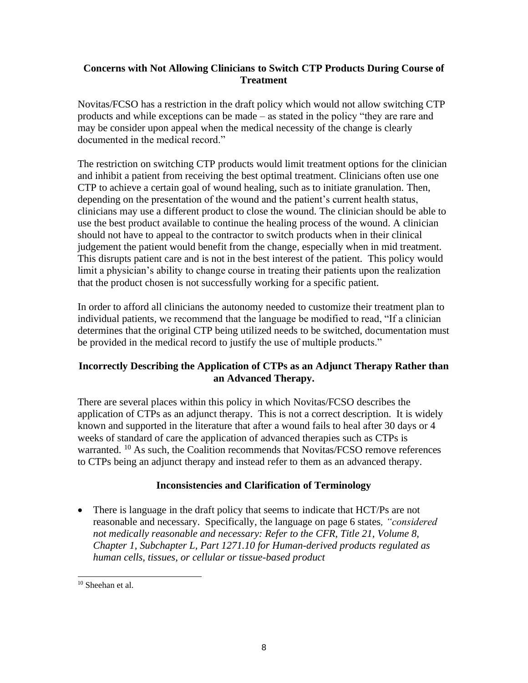### **Concerns with Not Allowing Clinicians to Switch CTP Products During Course of Treatment**

Novitas/FCSO has a restriction in the draft policy which would not allow switching CTP products and while exceptions can be made – as stated in the policy "they are rare and may be consider upon appeal when the medical necessity of the change is clearly documented in the medical record."

The restriction on switching CTP products would limit treatment options for the clinician and inhibit a patient from receiving the best optimal treatment. Clinicians often use one CTP to achieve a certain goal of wound healing, such as to initiate granulation. Then, depending on the presentation of the wound and the patient's current health status, clinicians may use a different product to close the wound. The clinician should be able to use the best product available to continue the healing process of the wound. A clinician should not have to appeal to the contractor to switch products when in their clinical judgement the patient would benefit from the change, especially when in mid treatment. This disrupts patient care and is not in the best interest of the patient. This policy would limit a physician's ability to change course in treating their patients upon the realization that the product chosen is not successfully working for a specific patient.

In order to afford all clinicians the autonomy needed to customize their treatment plan to individual patients, we recommend that the language be modified to read, "If a clinician determines that the original CTP being utilized needs to be switched, documentation must be provided in the medical record to justify the use of multiple products."

## **Incorrectly Describing the Application of CTPs as an Adjunct Therapy Rather than an Advanced Therapy.**

There are several places within this policy in which Novitas/FCSO describes the application of CTPs as an adjunct therapy. This is not a correct description. It is widely known and supported in the literature that after a wound fails to heal after 30 days or 4 weeks of standard of care the application of advanced therapies such as CTPs is warranted. <sup>10</sup> As such, the Coalition recommends that Novitas/FCSO remove references to CTPs being an adjunct therapy and instead refer to them as an advanced therapy.

## **Inconsistencies and Clarification of Terminology**

• There is language in the draft policy that seems to indicate that HCT/Ps are not reasonable and necessary. Specifically, the language on page 6 states*, "considered not medically reasonable and necessary: Refer to the CFR, Title 21, Volume 8, Chapter 1, Subchapter L, Part 1271.10 for Human-derived products regulated as human cells, tissues, or cellular or tissue-based product*

<sup>&</sup>lt;sup>10</sup> Sheehan et al.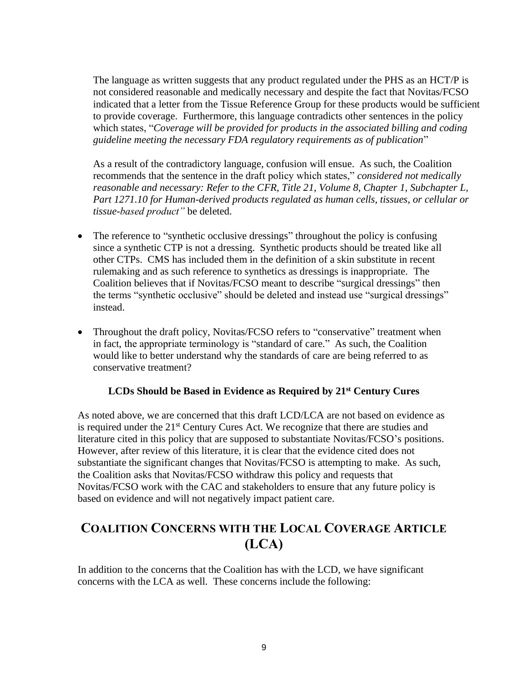The language as written suggests that any product regulated under the PHS as an HCT/P is not considered reasonable and medically necessary and despite the fact that Novitas/FCSO indicated that a letter from the Tissue Reference Group for these products would be sufficient to provide coverage. Furthermore, this language contradicts other sentences in the policy which states, "*Coverage will be provided for products in the associated billing and coding guideline meeting the necessary FDA regulatory requirements as of publication*"

As a result of the contradictory language, confusion will ensue. As such, the Coalition recommends that the sentence in the draft policy which states," *considered not medically reasonable and necessary: Refer to the CFR, Title 21, Volume 8, Chapter 1, Subchapter L, Part 1271.10 for Human-derived products regulated as human cells, tissues, or cellular or tissue-based product"* be deleted.

- The reference to "synthetic occlusive dressings" throughout the policy is confusing since a synthetic CTP is not a dressing. Synthetic products should be treated like all other CTPs. CMS has included them in the definition of a skin substitute in recent rulemaking and as such reference to synthetics as dressings is inappropriate. The Coalition believes that if Novitas/FCSO meant to describe "surgical dressings" then the terms "synthetic occlusive" should be deleted and instead use "surgical dressings" instead.
- Throughout the draft policy, Novitas/FCSO refers to "conservative" treatment when in fact, the appropriate terminology is "standard of care." As such, the Coalition would like to better understand why the standards of care are being referred to as conservative treatment?

#### **LCDs Should be Based in Evidence as Required by 21st Century Cures**

As noted above, we are concerned that this draft LCD/LCA are not based on evidence as is required under the 21<sup>st</sup> Century Cures Act. We recognize that there are studies and literature cited in this policy that are supposed to substantiate Novitas/FCSO's positions. However, after review of this literature, it is clear that the evidence cited does not substantiate the significant changes that Novitas/FCSO is attempting to make. As such, the Coalition asks that Novitas/FCSO withdraw this policy and requests that Novitas/FCSO work with the CAC and stakeholders to ensure that any future policy is based on evidence and will not negatively impact patient care.

# **COALITION CONCERNS WITH THE LOCAL COVERAGE ARTICLE (LCA)**

In addition to the concerns that the Coalition has with the LCD, we have significant concerns with the LCA as well. These concerns include the following: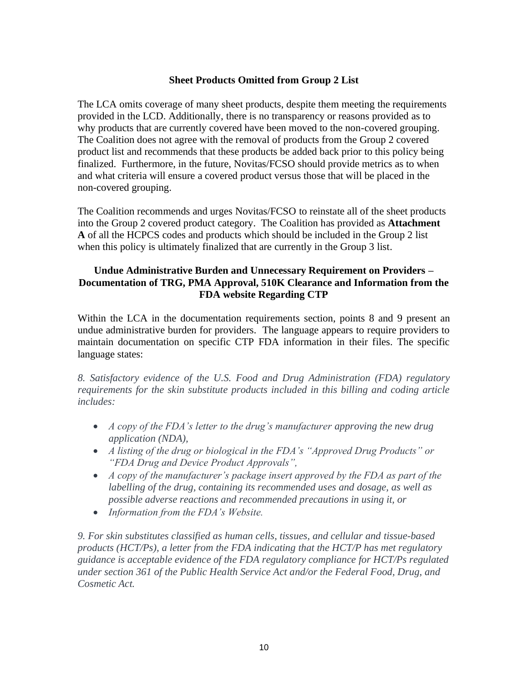### **Sheet Products Omitted from Group 2 List**

The LCA omits coverage of many sheet products, despite them meeting the requirements provided in the LCD. Additionally, there is no transparency or reasons provided as to why products that are currently covered have been moved to the non-covered grouping. The Coalition does not agree with the removal of products from the Group 2 covered product list and recommends that these products be added back prior to this policy being finalized. Furthermore, in the future, Novitas/FCSO should provide metrics as to when and what criteria will ensure a covered product versus those that will be placed in the non-covered grouping.

The Coalition recommends and urges Novitas/FCSO to reinstate all of the sheet products into the Group 2 covered product category. The Coalition has provided as **Attachment A** of all the HCPCS codes and products which should be included in the Group 2 list when this policy is ultimately finalized that are currently in the Group 3 list.

### **Undue Administrative Burden and Unnecessary Requirement on Providers – Documentation of TRG, PMA Approval, 510K Clearance and Information from the FDA website Regarding CTP**

Within the LCA in the documentation requirements section, points 8 and 9 present an undue administrative burden for providers. The language appears to require providers to maintain documentation on specific CTP FDA information in their files. The specific language states:

*8. Satisfactory evidence of the U.S. Food and Drug Administration (FDA) regulatory requirements for the skin substitute products included in this billing and coding article includes:*

- *A copy of the FDA's letter to the drug's manufacturer approving the new drug application (NDA),*
- *A listing of the drug or biological in the FDA's "Approved Drug Products" or "FDA Drug and Device Product Approvals",*
- *A copy of the manufacturer's package insert approved by the FDA as part of the labelling of the drug, containing its recommended uses and dosage, as well as possible adverse reactions and recommended precautions in using it, or*
- *Information from the FDA's Website.*

*9. For skin substitutes classified as human cells, tissues, and cellular and tissue-based products (HCT/Ps), a letter from the FDA indicating that the HCT/P has met regulatory guidance is acceptable evidence of the FDA regulatory compliance for HCT/Ps regulated under section 361 of the Public Health Service Act and/or the Federal Food, Drug, and Cosmetic Act.*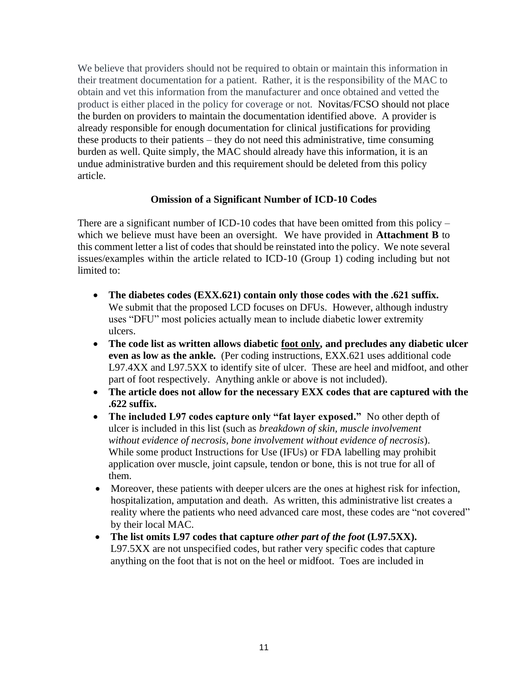We believe that providers should not be required to obtain or maintain this information in their treatment documentation for a patient. Rather, it is the responsibility of the MAC to obtain and vet this information from the manufacturer and once obtained and vetted the product is either placed in the policy for coverage or not. Novitas/FCSO should not place the burden on providers to maintain the documentation identified above. A provider is already responsible for enough documentation for clinical justifications for providing these products to their patients – they do not need this administrative, time consuming burden as well. Quite simply, the MAC should already have this information, it is an undue administrative burden and this requirement should be deleted from this policy article.

## **Omission of a Significant Number of ICD-10 Codes**

There are a significant number of ICD-10 codes that have been omitted from this policy – which we believe must have been an oversight. We have provided in **Attachment B** to this comment letter a list of codes that should be reinstated into the policy. We note several issues/examples within the article related to ICD-10 (Group 1) coding including but not limited to:

- **The diabetes codes (EXX.621) contain only those codes with the .621 suffix.** We submit that the proposed LCD focuses on DFUs. However, although industry uses "DFU" most policies actually mean to include diabetic lower extremity ulcers.
- **The code list as written allows diabetic foot only, and precludes any diabetic ulcer even as low as the ankle.** (Per coding instructions, EXX.621 uses additional code L97.4XX and L97.5XX to identify site of ulcer. These are heel and midfoot, and other part of foot respectively. Anything ankle or above is not included).
- **The article does not allow for the necessary EXX codes that are captured with the .622 suffix.**
- **The included L97 codes capture only "fat layer exposed."** No other depth of ulcer is included in this list (such as *breakdown of skin, muscle involvement without evidence of necrosis, bone involvement without evidence of necrosis*). While some product Instructions for Use (IFUs) or FDA labelling may prohibit application over muscle, joint capsule, tendon or bone, this is not true for all of them.
- Moreover, these patients with deeper ulcers are the ones at highest risk for infection, hospitalization, amputation and death. As written, this administrative list creates a reality where the patients who need advanced care most, these codes are "not covered" by their local MAC.
- The list omits L97 codes that capture *other part of the foot* (L97.5XX). L97.5XX are not unspecified codes, but rather very specific codes that capture anything on the foot that is not on the heel or midfoot. Toes are included in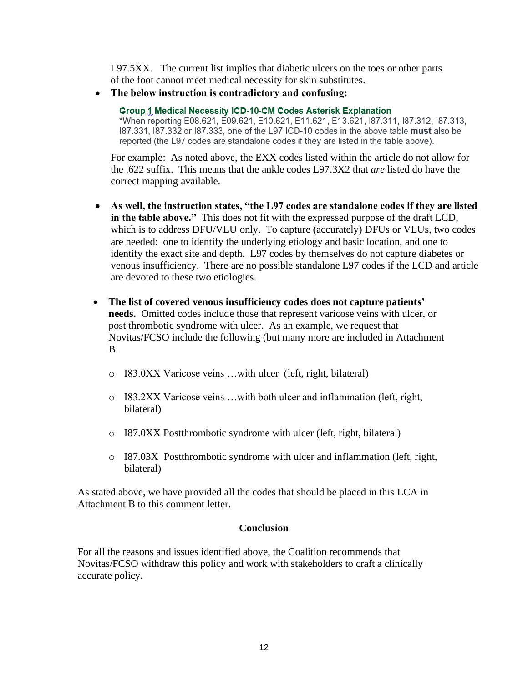L97.5XX. The current list implies that diabetic ulcers on the toes or other parts of the foot cannot meet medical necessity for skin substitutes.

• **The below instruction is contradictory and confusing:**

**Group 1 Medical Necessity ICD-10-CM Codes Asterisk Explanation** \*When reporting E08.621, E09.621, E10.621, E11.621, E13.621, I87.311, I87.312, I87.313, 187.331, 187.332 or 187.333, one of the L97 ICD-10 codes in the above table must also be reported (the L97 codes are standalone codes if they are listed in the table above).

For example:As noted above, the EXX codes listed within the article do not allow for the .622 suffix. This means that the ankle codes L97.3X2 that *are* listed do have the correct mapping available.

- **As well, the instruction states, "the L97 codes are standalone codes if they are listed in the table above."** This does not fit with the expressed purpose of the draft LCD, which is to address DFU/VLU only. To capture (accurately) DFUs or VLUs, two codes are needed: one to identify the underlying etiology and basic location, and one to identify the exact site and depth. L97 codes by themselves do not capture diabetes or venous insufficiency. There are no possible standalone L97 codes if the LCD and article are devoted to these two etiologies.
- **The list of covered venous insufficiency codes does not capture patients' needs.** Omitted codes include those that represent varicose veins with ulcer, or post thrombotic syndrome with ulcer. As an example, we request that Novitas/FCSO include the following (but many more are included in Attachment B.
	- o I83.0XX Varicose veins …with ulcer (left, right, bilateral)
	- o I83.2XX Varicose veins …with both ulcer and inflammation (left, right, bilateral)
	- o I87.0XX Postthrombotic syndrome with ulcer (left, right, bilateral)
	- $\circ$  I87.03X Postthrombotic syndrome with ulcer and inflammation (left, right, bilateral)

As stated above, we have provided all the codes that should be placed in this LCA in Attachment B to this comment letter.

#### **Conclusion**

For all the reasons and issues identified above, the Coalition recommends that Novitas/FCSO withdraw this policy and work with stakeholders to craft a clinically accurate policy.